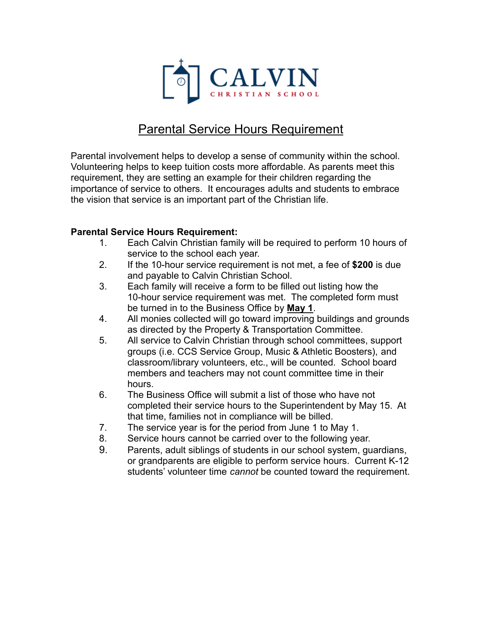

## Parental Service Hours Requirement

Parental involvement helps to develop a sense of community within the school. Volunteering helps to keep tuition costs more affordable. As parents meet this requirement, they are setting an example for their children regarding the importance of service to others. It encourages adults and students to embrace the vision that service is an important part of the Christian life.

## **Parental Service Hours Requirement:**

- 1. Each Calvin Christian family will be required to perform 10 hours of service to the school each year.
- 2. If the 10-hour service requirement is not met, a fee of **\$200** is due and payable to Calvin Christian School.
- 3. Each family will receive a form to be filled out listing how the 10-hour service requirement was met. The completed form must be turned in to the Business Office by **May 1**.
- 4. All monies collected will go toward improving buildings and grounds as directed by the Property & Transportation Committee.
- 5. All service to Calvin Christian through school committees, support groups (i.e. CCS Service Group, Music & Athletic Boosters), and classroom/library volunteers, etc., will be counted. School board members and teachers may not count committee time in their hours.
- 6. The Business Office will submit a list of those who have not completed their service hours to the Superintendent by May 15. At that time, families not in compliance will be billed.
- 7. The service year is for the period from June 1 to May 1.
- 8. Service hours cannot be carried over to the following year.
- 9. Parents, adult siblings of students in our school system, guardians, or grandparents are eligible to perform service hours. Current K-12 students' volunteer time *cannot* be counted toward the requirement.